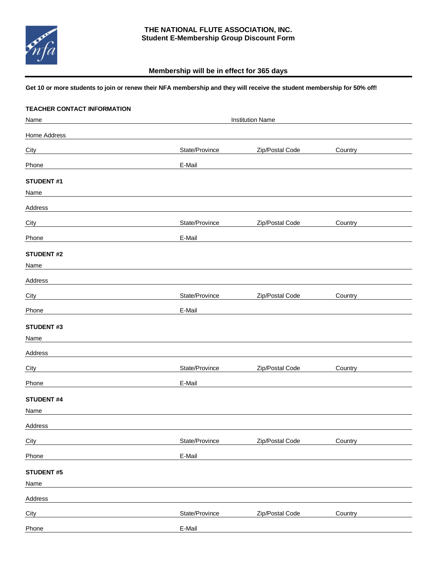

## **THE NATIONAL FLUTE ASSOCIATION, INC. Student E-Membership Group Discount Form**

## **Membership will be in effect for 365 days**

## **Get 10 or more students to join or renew their NFA membership and they will receive the student membership for 50% off!**

| <b>TEACHER CONTACT INFORMATION</b> |                |                         |         |  |  |
|------------------------------------|----------------|-------------------------|---------|--|--|
| Name                               |                | <b>Institution Name</b> |         |  |  |
| Home Address                       |                |                         |         |  |  |
| City                               | State/Province | Zip/Postal Code         | Country |  |  |
| Phone                              | E-Mail         |                         |         |  |  |
| <b>STUDENT #1</b>                  |                |                         |         |  |  |
| Name                               |                |                         |         |  |  |
| Address                            |                |                         |         |  |  |
| City                               | State/Province | Zip/Postal Code         | Country |  |  |
| Phone                              | E-Mail         |                         |         |  |  |
| <b>STUDENT #2</b>                  |                |                         |         |  |  |
| Name                               |                |                         |         |  |  |
| Address                            |                |                         |         |  |  |
| City                               | State/Province | Zip/Postal Code         | Country |  |  |
| Phone                              | E-Mail         |                         |         |  |  |
| <b>STUDENT#3</b>                   |                |                         |         |  |  |
| Name                               |                |                         |         |  |  |
| Address                            |                |                         |         |  |  |
| City                               | State/Province | Zip/Postal Code         | Country |  |  |
| Phone                              | E-Mail         |                         |         |  |  |
| <b>STUDENT #4</b>                  |                |                         |         |  |  |
| Name                               |                |                         |         |  |  |
| Address                            |                |                         |         |  |  |
| City                               | State/Province | Zip/Postal Code         | Country |  |  |
| Phone                              | E-Mail         |                         |         |  |  |
| <b>STUDENT #5</b>                  |                |                         |         |  |  |
| Name                               |                |                         |         |  |  |
| Address                            |                |                         |         |  |  |
| City                               | State/Province | Zip/Postal Code         | Country |  |  |
| Phone                              | E-Mail         |                         |         |  |  |
|                                    |                |                         |         |  |  |